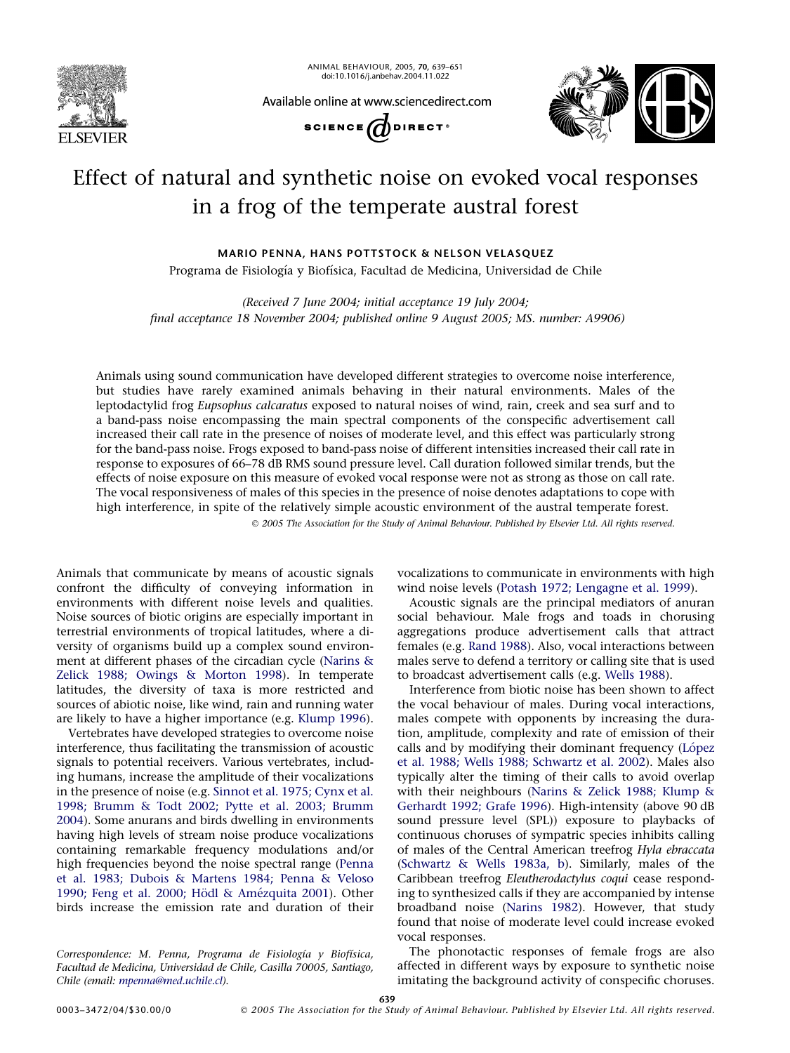

ANIMAL BEHAVIOUR, 2005, 70, 639–651 doi:10.1016/j.anbehav.2004.11.022





# Effect of natural and synthetic noise on evoked vocal responses in a frog of the temperate austral forest

MARIO PENNA, HANS POTTSTOCK & NELSON VELASQUEZ Programa de Fisiología y Biofísica. Facultad de Medicina, Universidad de Chile

(Received 7 June 2004; initial acceptance 19 July 2004; final acceptance 18 November 2004; published online 9 August 2005; MS. number: A9906)

Animals using sound communication have developed different strategies to overcome noise interference, but studies have rarely examined animals behaving in their natural environments. Males of the leptodactylid frog Eupsophus calcaratus exposed to natural noises of wind, rain, creek and sea surf and to a band-pass noise encompassing the main spectral components of the conspecific advertisement call increased their call rate in the presence of noises of moderate level, and this effect was particularly strong for the band-pass noise. Frogs exposed to band-pass noise of different intensities increased their call rate in response to exposures of 66–78 dB RMS sound pressure level. Call duration followed similar trends, but the effects of noise exposure on this measure of evoked vocal response were not as strong as those on call rate. The vocal responsiveness of males of this species in the presence of noise denotes adaptations to cope with high interference, in spite of the relatively simple acoustic environment of the austral temperate forest.

2005 The Association for the Study of Animal Behaviour. Published by Elsevier Ltd. All rights reserved.

Animals that communicate by means of acoustic signals confront the difficulty of conveying information in environments with different noise levels and qualities. Noise sources of biotic origins are especially important in terrestrial environments of tropical latitudes, where a diversity of organisms build up a complex sound environment at different phases of the circadian cycle ([Narins &](#page-11-0) [Zelick 1988; Owings & Morton 1998\)](#page-11-0). In temperate latitudes, the diversity of taxa is more restricted and sources of abiotic noise, like wind, rain and running water are likely to have a higher importance (e.g. [Klump 1996](#page-11-0)).

Vertebrates have developed strategies to overcome noise interference, thus facilitating the transmission of acoustic signals to potential receivers. Various vertebrates, including humans, increase the amplitude of their vocalizations in the presence of noise (e.g. [Sinnot et al. 1975; Cynx et al.](#page-12-0) [1998; Brumm & Todt 2002; Pytte et al. 2003; Brumm](#page-12-0) [2004](#page-12-0)). Some anurans and birds dwelling in environments having high levels of stream noise produce vocalizations containing remarkable frequency modulations and/or high frequencies beyond the noise spectral range ([Penna](#page-11-0) [et al. 1983; Dubois & Martens 1984; Penna & Veloso](#page-11-0) 1990; Feng et al. 2000; Hödl & Amézquita 2001). Other birds increase the emission rate and duration of their

Correspondence: M. Penna, Programa de Fisiología y Biofísica, Facultad de Medicina, Universidad de Chile, Casilla 70005, Santiago, Chile (email: [mpenna@med.uchile.cl\)](mailto:mpenna@med.uchile.cl).

vocalizations to communicate in environments with high wind noise levels [\(Potash 1972; Lengagne et al. 1999](#page-11-0)).

Acoustic signals are the principal mediators of anuran social behaviour. Male frogs and toads in chorusing aggregations produce advertisement calls that attract females (e.g. [Rand 1988](#page-11-0)). Also, vocal interactions between males serve to defend a territory or calling site that is used to broadcast advertisement calls (e.g. [Wells 1988\)](#page-12-0).

Interference from biotic noise has been shown to affect the vocal behaviour of males. During vocal interactions, males compete with opponents by increasing the duration, amplitude, complexity and rate of emission of their calls and by modifying their dominant frequency (López [et al. 1988; Wells 1988; Schwartz et al. 2002\)](#page-11-0). Males also typically alter the timing of their calls to avoid overlap with their neighbours [\(Narins & Zelick 1988; Klump &](#page-11-0) [Gerhardt 1992; Grafe 1996](#page-11-0)). High-intensity (above 90 dB sound pressure level (SPL)) exposure to playbacks of continuous choruses of sympatric species inhibits calling of males of the Central American treefrog Hyla ebraccata ([Schwartz & Wells 1983a, b\)](#page-12-0). Similarly, males of the Caribbean treefrog Eleutherodactylus coqui cease responding to synthesized calls if they are accompanied by intense broadband noise ([Narins 1982\)](#page-11-0). However, that study found that noise of moderate level could increase evoked vocal responses.

The phonotactic responses of female frogs are also affected in different ways by exposure to synthetic noise imitating the background activity of conspecific choruses.

639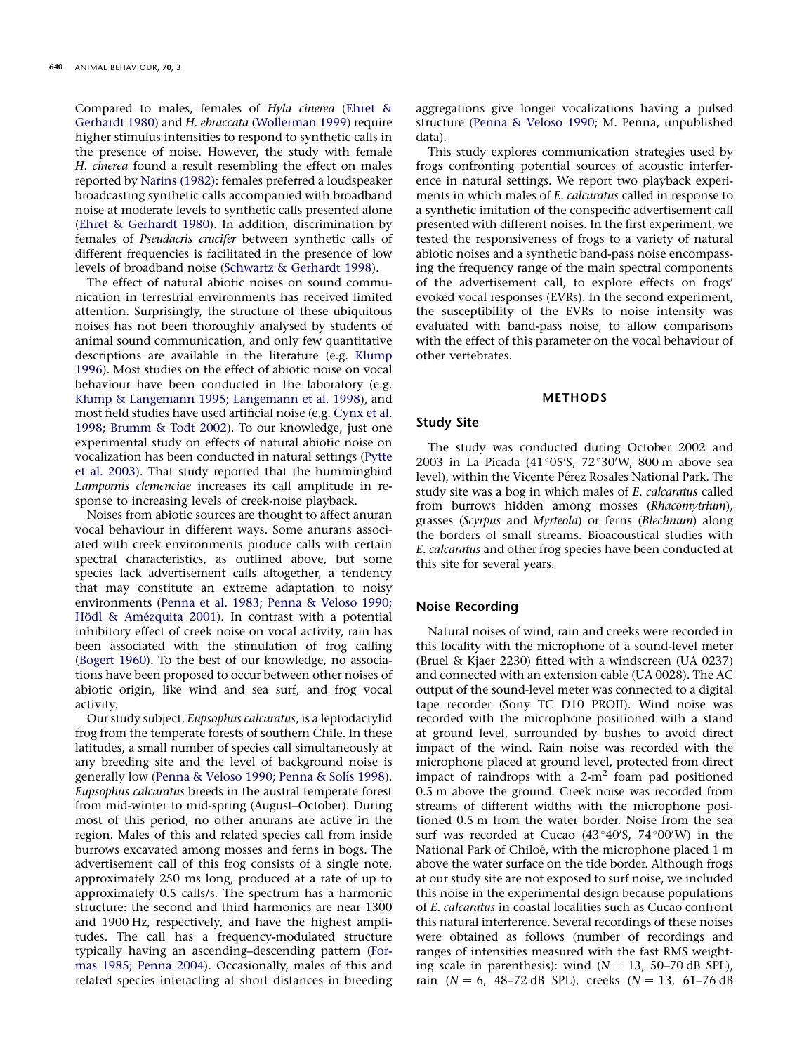Compared to males, females of Hyla cinerea ([Ehret &](#page-11-0) [Gerhardt 1980\)](#page-11-0) and H. ebraccata ([Wollerman 1999](#page-12-0)) require higher stimulus intensities to respond to synthetic calls in the presence of noise. However, the study with female H. cinerea found a result resembling the effect on males reported by [Narins \(1982\)](#page-11-0): females preferred a loudspeaker broadcasting synthetic calls accompanied with broadband noise at moderate levels to synthetic calls presented alone ([Ehret & Gerhardt 1980\)](#page-11-0). In addition, discrimination by females of Pseudacris crucifer between synthetic calls of different frequencies is facilitated in the presence of low levels of broadband noise [\(Schwartz & Gerhardt 1998](#page-12-0)).

The effect of natural abiotic noises on sound communication in terrestrial environments has received limited attention. Surprisingly, the structure of these ubiquitous noises has not been thoroughly analysed by students of animal sound communication, and only few quantitative descriptions are available in the literature (e.g. [Klump](#page-11-0) [1996](#page-11-0)). Most studies on the effect of abiotic noise on vocal behaviour have been conducted in the laboratory (e.g. [Klump & Langemann 1995; Langemann et al. 1998\)](#page-11-0), and most field studies have used artificial noise (e.g. [Cynx et al.](#page-11-0) [1998; Brumm & Todt 2002](#page-11-0)). To our knowledge, just one experimental study on effects of natural abiotic noise on vocalization has been conducted in natural settings ([Pytte](#page-11-0) [et al. 2003](#page-11-0)). That study reported that the hummingbird Lampornis clemenciae increases its call amplitude in response to increasing levels of creek-noise playback.

Noises from abiotic sources are thought to affect anuran vocal behaviour in different ways. Some anurans associated with creek environments produce calls with certain spectral characteristics, as outlined above, but some species lack advertisement calls altogether, a tendency that may constitute an extreme adaptation to noisy environments [\(Penna et al. 1983; Penna & Veloso 1990;](#page-11-0) Hödl & Amézquita 2001). In contrast with a potential inhibitory effect of creek noise on vocal activity, rain has been associated with the stimulation of frog calling ([Bogert 1960](#page-11-0)). To the best of our knowledge, no associations have been proposed to occur between other noises of abiotic origin, like wind and sea surf, and frog vocal activity.

Our study subject, Eupsophus calcaratus, is a leptodactylid frog from the temperate forests of southern Chile. In these latitudes, a small number of species call simultaneously at any breeding site and the level of background noise is generally low (Penna & Veloso 1990; Penna & Solís 1998). Eupsophus calcaratus breeds in the austral temperate forest from mid-winter to mid-spring (August–October). During most of this period, no other anurans are active in the region. Males of this and related species call from inside burrows excavated among mosses and ferns in bogs. The advertisement call of this frog consists of a single note, approximately 250 ms long, produced at a rate of up to approximately 0.5 calls/s. The spectrum has a harmonic structure: the second and third harmonics are near 1300 and 1900 Hz, respectively, and have the highest amplitudes. The call has a frequency-modulated structure typically having an ascending–descending pattern ([For](#page-11-0)[mas 1985; Penna 2004\)](#page-11-0). Occasionally, males of this and related species interacting at short distances in breeding aggregations give longer vocalizations having a pulsed structure ([Penna & Veloso 1990](#page-11-0); M. Penna, unpublished data).

This study explores communication strategies used by frogs confronting potential sources of acoustic interference in natural settings. We report two playback experiments in which males of E. calcaratus called in response to a synthetic imitation of the conspecific advertisement call presented with different noises. In the first experiment, we tested the responsiveness of frogs to a variety of natural abiotic noises and a synthetic band-pass noise encompassing the frequency range of the main spectral components of the advertisement call, to explore effects on frogs' evoked vocal responses (EVRs). In the second experiment, the susceptibility of the EVRs to noise intensity was evaluated with band-pass noise, to allow comparisons with the effect of this parameter on the vocal behaviour of other vertebrates.

#### METHODS

#### Study Site

The study was conducted during October 2002 and 2003 in La Picada (41°05'S, 72°30'W, 800 m above sea level), within the Vicente Pérez Rosales National Park. The study site was a bog in which males of E. calcaratus called from burrows hidden among mosses (Rhacomytrium), grasses (Scyrpus and Myrteola) or ferns (Blechnum) along the borders of small streams. Bioacoustical studies with E. calcaratus and other frog species have been conducted at this site for several years.

#### Noise Recording

Natural noises of wind, rain and creeks were recorded in this locality with the microphone of a sound-level meter (Bruel & Kjaer 2230) fitted with a windscreen (UA 0237) and connected with an extension cable (UA 0028). The AC output of the sound-level meter was connected to a digital tape recorder (Sony TC D10 PROII). Wind noise was recorded with the microphone positioned with a stand at ground level, surrounded by bushes to avoid direct impact of the wind. Rain noise was recorded with the microphone placed at ground level, protected from direct impact of raindrops with a  $2-m^2$  foam pad positioned 0.5 m above the ground. Creek noise was recorded from streams of different widths with the microphone positioned 0.5 m from the water border. Noise from the sea surf was recorded at Cucao  $(43°40'S, 74°00'W)$  in the National Park of Chiloé, with the microphone placed 1 m above the water surface on the tide border. Although frogs at our study site are not exposed to surf noise, we included this noise in the experimental design because populations of E. calcaratus in coastal localities such as Cucao confront this natural interference. Several recordings of these noises were obtained as follows (number of recordings and ranges of intensities measured with the fast RMS weighting scale in parenthesis): wind  $(N = 13, 50-70$  dB SPL), rain ( $N = 6$ , 48–72 dB SPL), creeks ( $N = 13$ , 61–76 dB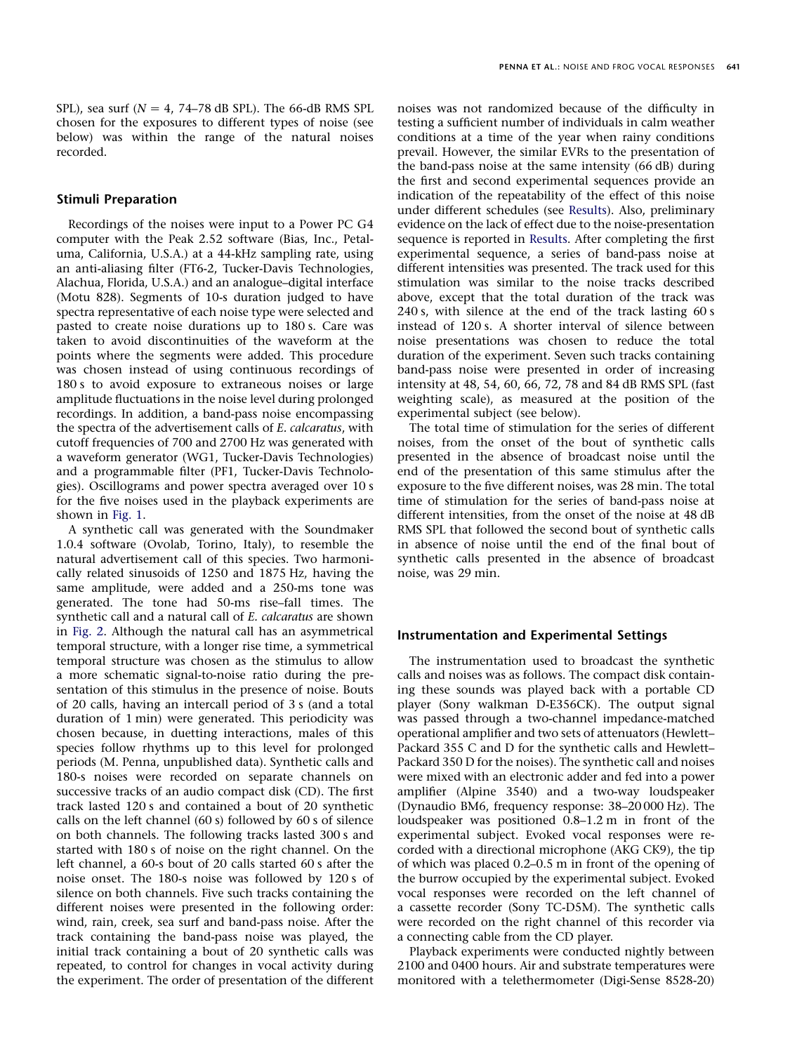SPL), sea surf ( $N = 4$ , 74–78 dB SPL). The 66-dB RMS SPL chosen for the exposures to different types of noise (see below) was within the range of the natural noises recorded.

## Stimuli Preparation

Recordings of the noises were input to a Power PC G4 computer with the Peak 2.52 software (Bias, Inc., Petaluma, California, U.S.A.) at a 44-kHz sampling rate, using an anti-aliasing filter (FT6-2, Tucker-Davis Technologies, Alachua, Florida, U.S.A.) and an analogue–digital interface (Motu 828). Segments of 10-s duration judged to have spectra representative of each noise type were selected and pasted to create noise durations up to 180 s. Care was taken to avoid discontinuities of the waveform at the points where the segments were added. This procedure was chosen instead of using continuous recordings of 180 s to avoid exposure to extraneous noises or large amplitude fluctuations in the noise level during prolonged recordings. In addition, a band-pass noise encompassing the spectra of the advertisement calls of E. calcaratus, with cutoff frequencies of 700 and 2700 Hz was generated with a waveform generator (WG1, Tucker-Davis Technologies) and a programmable filter (PF1, Tucker-Davis Technologies). Oscillograms and power spectra averaged over 10 s for the five noises used in the playback experiments are shown in [Fig. 1](#page-3-0).

A synthetic call was generated with the Soundmaker 1.0.4 software (Ovolab, Torino, Italy), to resemble the natural advertisement call of this species. Two harmonically related sinusoids of 1250 and 1875 Hz, having the same amplitude, were added and a 250-ms tone was generated. The tone had 50-ms rise–fall times. The synthetic call and a natural call of E. calcaratus are shown in [Fig. 2](#page-3-0). Although the natural call has an asymmetrical temporal structure, with a longer rise time, a symmetrical temporal structure was chosen as the stimulus to allow a more schematic signal-to-noise ratio during the presentation of this stimulus in the presence of noise. Bouts of 20 calls, having an intercall period of 3 s (and a total duration of 1 min) were generated. This periodicity was chosen because, in duetting interactions, males of this species follow rhythms up to this level for prolonged periods (M. Penna, unpublished data). Synthetic calls and 180-s noises were recorded on separate channels on successive tracks of an audio compact disk (CD). The first track lasted 120 s and contained a bout of 20 synthetic calls on the left channel (60 s) followed by 60 s of silence on both channels. The following tracks lasted 300 s and started with 180 s of noise on the right channel. On the left channel, a 60-s bout of 20 calls started 60 s after the noise onset. The 180-s noise was followed by 120 s of silence on both channels. Five such tracks containing the different noises were presented in the following order: wind, rain, creek, sea surf and band-pass noise. After the track containing the band-pass noise was played, the initial track containing a bout of 20 synthetic calls was repeated, to control for changes in vocal activity during the experiment. The order of presentation of the different

noises was not randomized because of the difficulty in testing a sufficient number of individuals in calm weather conditions at a time of the year when rainy conditions prevail. However, the similar EVRs to the presentation of the band-pass noise at the same intensity (66 dB) during the first and second experimental sequences provide an indication of the repeatability of the effect of this noise under different schedules (see Results). Also, preliminary evidence on the lack of effect due to the noise-presentation sequence is reported in Results. After completing the first experimental sequence, a series of band-pass noise at different intensities was presented. The track used for this stimulation was similar to the noise tracks described above, except that the total duration of the track was 240 s, with silence at the end of the track lasting 60 s instead of 120 s. A shorter interval of silence between noise presentations was chosen to reduce the total duration of the experiment. Seven such tracks containing band-pass noise were presented in order of increasing intensity at 48, 54, 60, 66, 72, 78 and 84 dB RMS SPL (fast weighting scale), as measured at the position of the experimental subject (see below).

The total time of stimulation for the series of different noises, from the onset of the bout of synthetic calls presented in the absence of broadcast noise until the end of the presentation of this same stimulus after the exposure to the five different noises, was 28 min. The total time of stimulation for the series of band-pass noise at different intensities, from the onset of the noise at 48 dB RMS SPL that followed the second bout of synthetic calls in absence of noise until the end of the final bout of synthetic calls presented in the absence of broadcast noise, was 29 min.

## Instrumentation and Experimental Settings

The instrumentation used to broadcast the synthetic calls and noises was as follows. The compact disk containing these sounds was played back with a portable CD player (Sony walkman D-E356CK). The output signal was passed through a two-channel impedance-matched operational amplifier and two sets of attenuators (Hewlett– Packard 355 C and D for the synthetic calls and Hewlett– Packard 350 D for the noises). The synthetic call and noises were mixed with an electronic adder and fed into a power amplifier (Alpine 3540) and a two-way loudspeaker (Dynaudio BM6, frequency response: 38–20 000 Hz). The loudspeaker was positioned 0.8–1.2 m in front of the experimental subject. Evoked vocal responses were recorded with a directional microphone (AKG CK9), the tip of which was placed 0.2–0.5 m in front of the opening of the burrow occupied by the experimental subject. Evoked vocal responses were recorded on the left channel of a cassette recorder (Sony TC-D5M). The synthetic calls were recorded on the right channel of this recorder via a connecting cable from the CD player.

Playback experiments were conducted nightly between 2100 and 0400 hours. Air and substrate temperatures were monitored with a telethermometer (Digi-Sense 8528-20)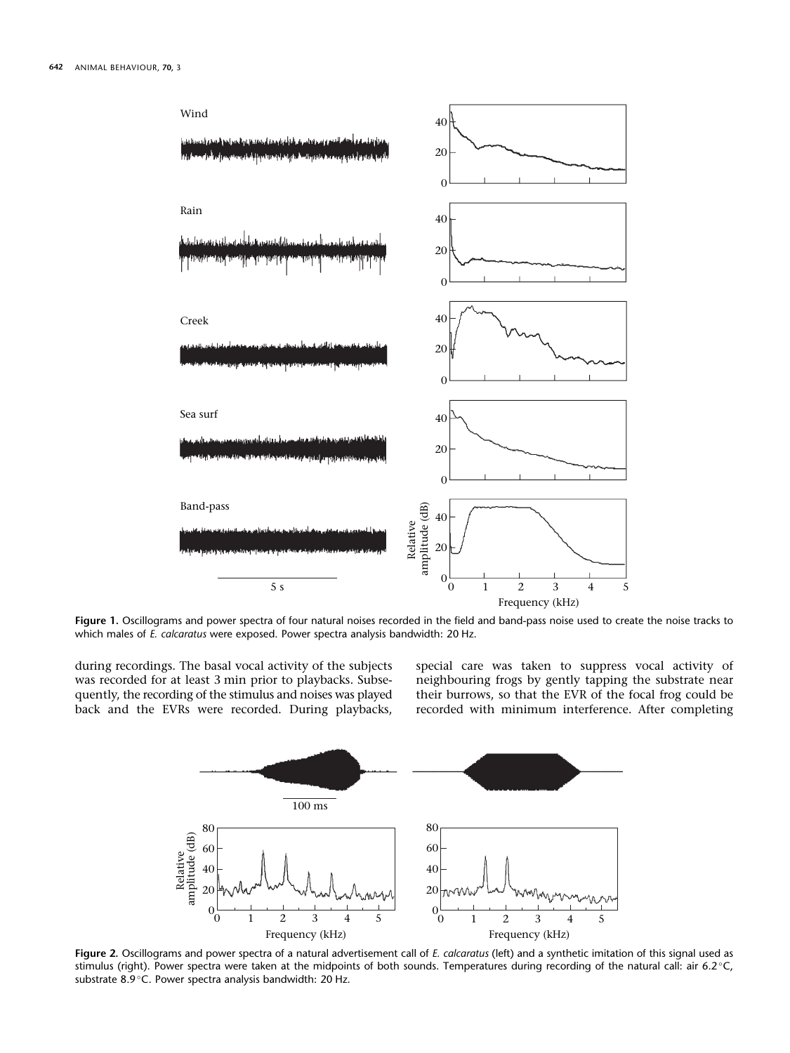<span id="page-3-0"></span>

Figure 1. Oscillograms and power spectra of four natural noises recorded in the field and band-pass noise used to create the noise tracks to which males of E. calcaratus were exposed. Power spectra analysis bandwidth: 20 Hz.

during recordings. The basal vocal activity of the subjects was recorded for at least 3 min prior to playbacks. Subsequently, the recording of the stimulus and noises was played back and the EVRs were recorded. During playbacks,

special care was taken to suppress vocal activity of neighbouring frogs by gently tapping the substrate near their burrows, so that the EVR of the focal frog could be recorded with minimum interference. After completing



Figure 2. Oscillograms and power spectra of a natural advertisement call of E. calcaratus (left) and a synthetic imitation of this signal used as stimulus (right). Power spectra were taken at the midpoints of both sounds. Temperatures during recording of the natural call: air 6.2°C, substrate 8.9°C. Power spectra analysis bandwidth: 20 Hz.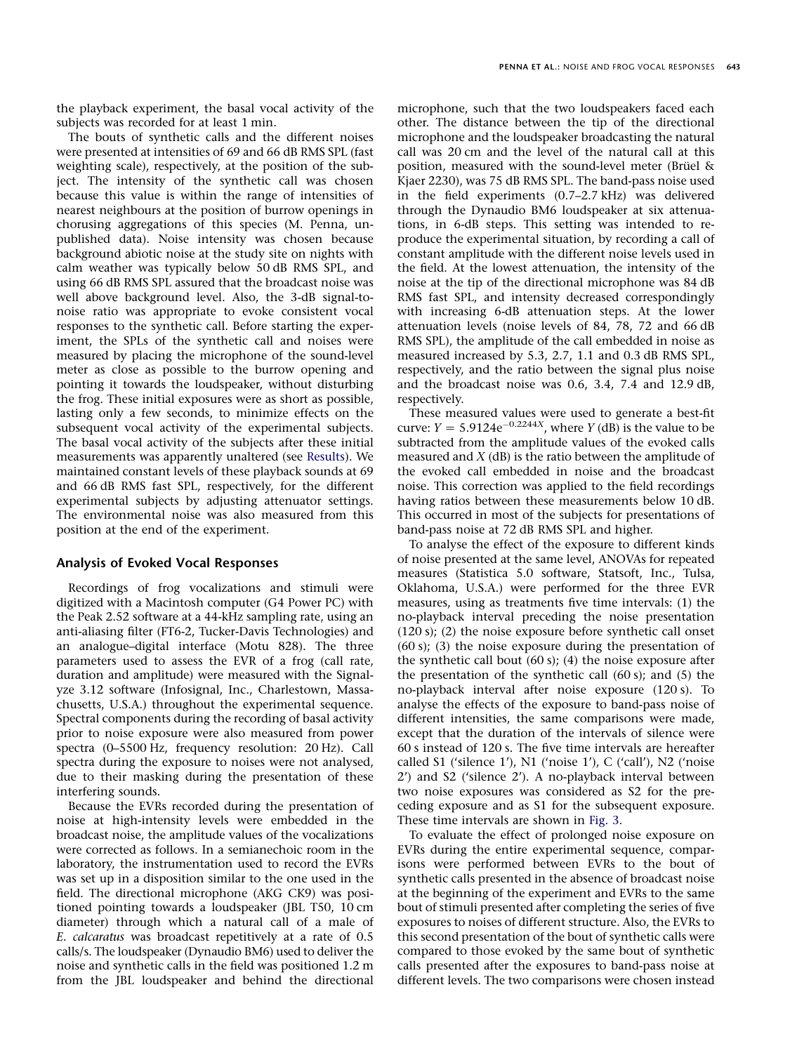the playback experiment, the basal vocal activity of the subjects was recorded for at least 1 min.

The bouts of synthetic calls and the different noises were presented at intensities of 69 and 66 dB RMS SPL (fast weighting scale), respectively, at the position of the subject. The intensity of the synthetic call was chosen because this value is within the range of intensities of nearest neighbours at the position of burrow openings in chorusing aggregations of this species (M. Penna, unpublished data). Noise intensity was chosen because background abiotic noise at the study site on nights with calm weather was typically below 50 dB RMS SPL, and using 66 dB RMS SPL assured that the broadcast noise was well above background level. Also, the 3-dB signal-tonoise ratio was appropriate to evoke consistent vocal responses to the synthetic call. Before starting the experiment, the SPLs of the synthetic call and noises were measured by placing the microphone of the sound-level meter as close as possible to the burrow opening and pointing it towards the loudspeaker, without disturbing the frog. These initial exposures were as short as possible, lasting only a few seconds, to minimize effects on the subsequent vocal activity of the experimental subjects. The basal vocal activity of the subjects after these initial measurements was apparently unaltered (see Results). We maintained constant levels of these playback sounds at 69 and 66 dB RMS fast SPL, respectively, for the different experimental subjects by adjusting attenuator settings. The environmental noise was also measured from this position at the end of the experiment.

#### Analysis of Evoked Vocal Responses

Recordings of frog vocalizations and stimuli were digitized with a Macintosh computer (G4 Power PC) with the Peak 2.52 software at a 44-kHz sampling rate, using an anti-aliasing filter (FT6-2, Tucker-Davis Technologies) and an analogue–digital interface (Motu 828). The three parameters used to assess the EVR of a frog (call rate, duration and amplitude) were measured with the Signalyze 3.12 software (Infosignal, Inc., Charlestown, Massachusetts, U.S.A.) throughout the experimental sequence. Spectral components during the recording of basal activity prior to noise exposure were also measured from power spectra (0–5500 Hz, frequency resolution: 20 Hz). Call spectra during the exposure to noises were not analysed, due to their masking during the presentation of these interfering sounds.

Because the EVRs recorded during the presentation of noise at high-intensity levels were embedded in the broadcast noise, the amplitude values of the vocalizations were corrected as follows. In a semianechoic room in the laboratory, the instrumentation used to record the EVRs was set up in a disposition similar to the one used in the field. The directional microphone (AKG CK9) was positioned pointing towards a loudspeaker (JBL T50, 10 cm diameter) through which a natural call of a male of E. calcaratus was broadcast repetitively at a rate of 0.5 calls/s. The loudspeaker (Dynaudio BM6) used to deliver the noise and synthetic calls in the field was positioned 1.2 m from the JBL loudspeaker and behind the directional

microphone, such that the two loudspeakers faced each other. The distance between the tip of the directional microphone and the loudspeaker broadcasting the natural call was 20 cm and the level of the natural call at this position, measured with the sound-level meter (Brüel  $\&$ Kjaer 2230), was 75 dB RMS SPL. The band-pass noise used in the field experiments (0.7–2.7 kHz) was delivered through the Dynaudio BM6 loudspeaker at six attenuations, in 6-dB steps. This setting was intended to reproduce the experimental situation, by recording a call of constant amplitude with the different noise levels used in the field. At the lowest attenuation, the intensity of the noise at the tip of the directional microphone was 84 dB RMS fast SPL, and intensity decreased correspondingly with increasing 6-dB attenuation steps. At the lower attenuation levels (noise levels of 84, 78, 72 and 66 dB RMS SPL), the amplitude of the call embedded in noise as measured increased by 5.3, 2.7, 1.1 and 0.3 dB RMS SPL, respectively, and the ratio between the signal plus noise and the broadcast noise was 0.6, 3.4, 7.4 and 12.9 dB, respectively.

These measured values were used to generate a best-fit curve:  $Y = 5.9124e^{-0.2244X}$ , where  $Y$  (dB) is the value to be subtracted from the amplitude values of the evoked calls measured and  $X$  (dB) is the ratio between the amplitude of the evoked call embedded in noise and the broadcast noise. This correction was applied to the field recordings having ratios between these measurements below 10 dB. This occurred in most of the subjects for presentations of band-pass noise at 72 dB RMS SPL and higher.

To analyse the effect of the exposure to different kinds of noise presented at the same level, ANOVAs for repeated measures (Statistica 5.0 software, Statsoft, Inc., Tulsa, Oklahoma, U.S.A.) were performed for the three EVR measures, using as treatments five time intervals: (1) the no-playback interval preceding the noise presentation (120 s); (2) the noise exposure before synthetic call onset (60 s); (3) the noise exposure during the presentation of the synthetic call bout (60 s); (4) the noise exposure after the presentation of the synthetic call  $(60 s)$ ; and  $(5)$  the no-playback interval after noise exposure (120 s). To analyse the effects of the exposure to band-pass noise of different intensities, the same comparisons were made, except that the duration of the intervals of silence were 60 s instead of 120 s. The five time intervals are hereafter called S1 ('silence 1'), N1 ('noise 1'), C ('call'), N2 ('noise 2') and S2 ('silence 2'). A no-playback interval between two noise exposures was considered as S2 for the preceding exposure and as S1 for the subsequent exposure. These time intervals are shown in [Fig. 3.](#page-5-0)

To evaluate the effect of prolonged noise exposure on EVRs during the entire experimental sequence, comparisons were performed between EVRs to the bout of synthetic calls presented in the absence of broadcast noise at the beginning of the experiment and EVRs to the same bout of stimuli presented after completing the series of five exposures to noises of different structure. Also, the EVRs to this second presentation of the bout of synthetic calls were compared to those evoked by the same bout of synthetic calls presented after the exposures to band-pass noise at different levels. The two comparisons were chosen instead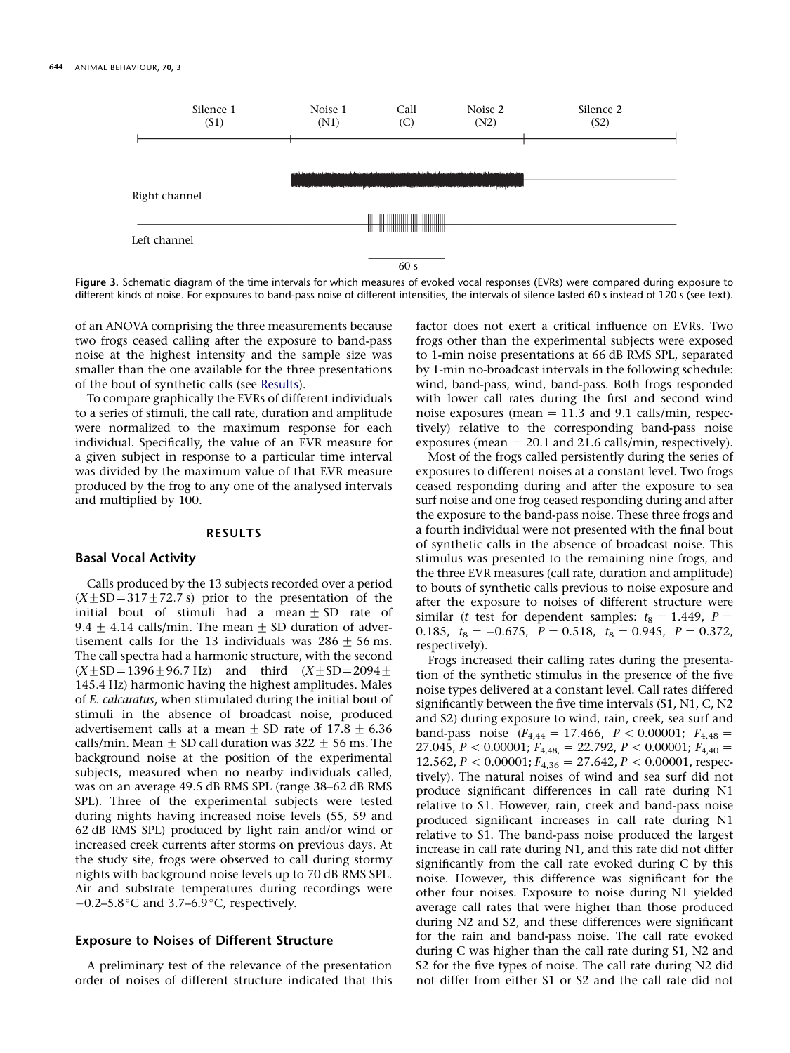<span id="page-5-0"></span>

Figure 3. Schematic diagram of the time intervals for which measures of evoked vocal responses (EVRs) were compared during exposure to different kinds of noise. For exposures to band-pass noise of different intensities, the intervals of silence lasted 60 s instead of 120 s (see text).

of an ANOVA comprising the three measurements because two frogs ceased calling after the exposure to band-pass noise at the highest intensity and the sample size was smaller than the one available for the three presentations of the bout of synthetic calls (see Results).

To compare graphically the EVRs of different individuals to a series of stimuli, the call rate, duration and amplitude were normalized to the maximum response for each individual. Specifically, the value of an EVR measure for a given subject in response to a particular time interval was divided by the maximum value of that EVR measure produced by the frog to any one of the analysed intervals and multiplied by 100.

## RESULTS

# Basal Vocal Activity

Calls produced by the 13 subjects recorded over a period  $(\overline{X} \pm SD = 317 \pm 72.7 \text{ s})$  prior to the presentation of the initial bout of stimuli had a mean  $\pm$  SD rate of 9.4  $\pm$  4.14 calls/min. The mean  $\pm$  SD duration of advertisement calls for the 13 individuals was  $286 \pm 56$  ms. The call spectra had a harmonic structure, with the second  $(\overline{X} \pm SD = 1396 \pm 96.7 \text{ Hz})$  and third  $(\overline{X} \pm SD = 2094 \pm 10.7 \text{ Hz})$ 145:4 Hz) harmonic having the highest amplitudes. Males of E. calcaratus, when stimulated during the initial bout of stimuli in the absence of broadcast noise, produced advertisement calls at a mean  $\pm$  SD rate of 17.8  $\pm$  6.36 calls/min. Mean  $\pm$  SD call duration was 322  $\pm$  56 ms. The background noise at the position of the experimental subjects, measured when no nearby individuals called, was on an average 49.5 dB RMS SPL (range 38–62 dB RMS SPL). Three of the experimental subjects were tested during nights having increased noise levels (55, 59 and 62 dB RMS SPL) produced by light rain and/or wind or increased creek currents after storms on previous days. At the study site, frogs were observed to call during stormy nights with background noise levels up to 70 dB RMS SPL. Air and substrate temperatures during recordings were  $-0.2$ -5.8 °C and 3.7-6.9 °C, respectively.

# Exposure to Noises of Different Structure

A preliminary test of the relevance of the presentation order of noises of different structure indicated that this

factor does not exert a critical influence on EVRs. Two frogs other than the experimental subjects were exposed to 1-min noise presentations at 66 dB RMS SPL, separated by 1-min no-broadcast intervals in the following schedule: wind, band-pass, wind, band-pass. Both frogs responded with lower call rates during the first and second wind noise exposures (mean  $= 11.3$  and 9.1 calls/min, respectively) relative to the corresponding band-pass noise exposures (mean  $= 20.1$  and 21.6 calls/min, respectively).

Most of the frogs called persistently during the series of exposures to different noises at a constant level. Two frogs ceased responding during and after the exposure to sea surf noise and one frog ceased responding during and after the exposure to the band-pass noise. These three frogs and a fourth individual were not presented with the final bout of synthetic calls in the absence of broadcast noise. This stimulus was presented to the remaining nine frogs, and the three EVR measures (call rate, duration and amplitude) to bouts of synthetic calls previous to noise exposure and after the exposure to noises of different structure were similar (t test for dependent samples:  $t_8 = 1.449$ ,  $P =$ 0.185,  $t_8 = -0.675$ ,  $\overline{P} = 0.518$ ,  $t_8 = 0.945$ ,  $P = 0.372$ , respectively).

Frogs increased their calling rates during the presentation of the synthetic stimulus in the presence of the five noise types delivered at a constant level. Call rates differed significantly between the five time intervals (S1, N1, C, N2 and S2) during exposure to wind, rain, creek, sea surf and band-pass noise  $(F_{4,44} = 17.466, P < 0.00001; F_{4,48} =$ 27.045,  $P < 0.00001$ ;  $F_{4,48} = 22.792$ ,  $P < 0.00001$ ;  $F_{4,40} =$ 12.562,  $P < 0.00001$ ;  $F_{4,36} = 27.642$ ,  $P < 0.00001$ , respectively). The natural noises of wind and sea surf did not produce significant differences in call rate during N1 relative to S1. However, rain, creek and band-pass noise produced significant increases in call rate during N1 relative to S1. The band-pass noise produced the largest increase in call rate during N1, and this rate did not differ significantly from the call rate evoked during C by this noise. However, this difference was significant for the other four noises. Exposure to noise during N1 yielded average call rates that were higher than those produced during N2 and S2, and these differences were significant for the rain and band-pass noise. The call rate evoked during C was higher than the call rate during S1, N2 and S2 for the five types of noise. The call rate during N2 did not differ from either S1 or S2 and the call rate did not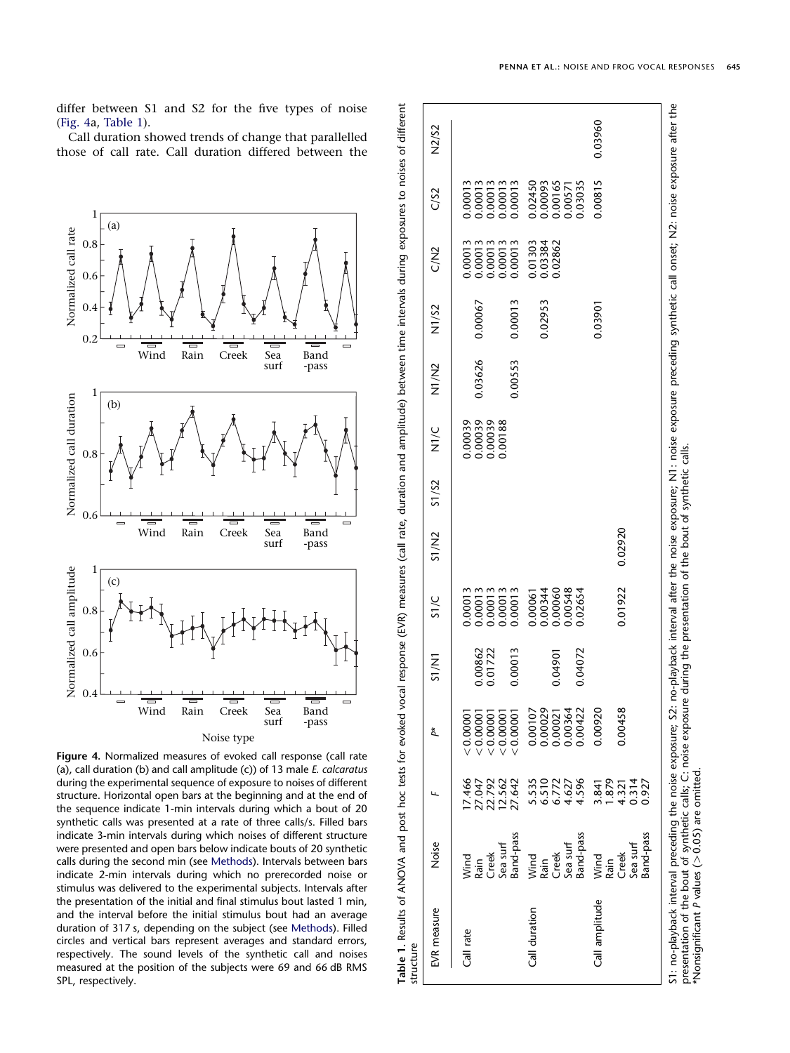<span id="page-6-0"></span>differ between S1 and S2 for the five types of noise (Fig. 4a, Table 1).

Call duration showed trends of change that parallelled those of call rate. Call duration differed between the



Figure 4. Normalized measures of evoked call response (call rate (a), call duration (b) and call amplitude (c)) of 13 male E. calcaratus during the experimental sequence of exposure to noises of different structure. Horizontal open bars at the beginning and at the end of the sequence indicate 1-min intervals during which a bout of 20 synthetic calls was presented at a rate of three calls/s. Filled bars indicate 3-min intervals during which noises of different structure were presented and open bars below indicate bouts of 20 synthetic calls during the second min (see Methods). Intervals between bars indicate 2-min intervals during which no prerecorded noise or stimulus was delivered to the experimental subjects. Intervals after the presentation of the initial and final stimulus bout lasted 1 min, and the interval before the initial stimulus bout had an average duration of 317 s, depending on the subject (see Methods). Filled circles and vertical bars represent averages and standard errors, respectively. The sound levels of the synthetic call and noises measured at the position of the subjects were 69 and 66 dB RMS SPL, respectively.

| EVR measure    | Noise                                          |                                           | Å,                                                  | S1/N1              | 51/C                                                | S1/N2   | S1/S2 | $\frac{C}{Z}$                 | N1/N2   | N1/S2   | C/N2                                                                  | C/52                                                                               | N2/S2   |
|----------------|------------------------------------------------|-------------------------------------------|-----------------------------------------------------|--------------------|-----------------------------------------------------|---------|-------|-------------------------------|---------|---------|-----------------------------------------------------------------------|------------------------------------------------------------------------------------|---------|
| Call rate      | Creek<br>Wind<br>Rain                          | 17.466<br>27.047<br>22.792                | 0.00001<br>0.00001<br>0.0000                        | 0.00862<br>0.01722 | 0.00013<br>0.00013                                  |         |       | 0.00039<br>0.00039<br>0.00039 | 0.03626 | 0.00067 | 00013<br>$\begin{array}{c} 0.00013 \\ 0.00013 \\ 0.00013 \end{array}$ | 0.00013<br>0.00013<br>0.00013                                                      |         |
|                | Band-pass<br>Sea surf                          | 27.642<br>12.562                          | 0.00001<br>0.00001                                  | 0.00013            | 0.00013<br>0.00013                                  |         |       | 0.00188                       | 0.00553 | 0.00013 | 0.00013                                                               | 0.00013<br>0.00013                                                                 |         |
| Call duration  | Band-pass<br>Sea surf<br>Creek<br>Wind<br>Rain | 4.596<br>5.535<br>6.517<br>6.772<br>4.627 | 0.00029<br>0.00422<br>0.00107<br>0.00364<br>0.00021 | 0.04072<br>0.04901 | 0.00344<br>0.00060<br>0.00548<br>0.02654<br>0.00061 |         |       |                               |         | 0.02953 | 0.01303<br>0.03384<br>0.02862                                         | $\begin{array}{c} 0.02450 \\ 0.00093 \\ 0.00165 \\ 0.00571 \end{array}$<br>0.03035 |         |
| Call amplitude | Creek<br>Wind<br>Rain                          | 1.879<br>4.321<br>0.314<br>3.841          | 0.00458<br>0.00920                                  |                    | 0.01922                                             | 0.02920 |       |                               |         | 0.03901 |                                                                       | 0.00815                                                                            | 0.03960 |
|                | Band-pass<br>Sea surf                          | 0.927                                     |                                                     |                    |                                                     |         |       |                               |         |         |                                                                       |                                                                                    |         |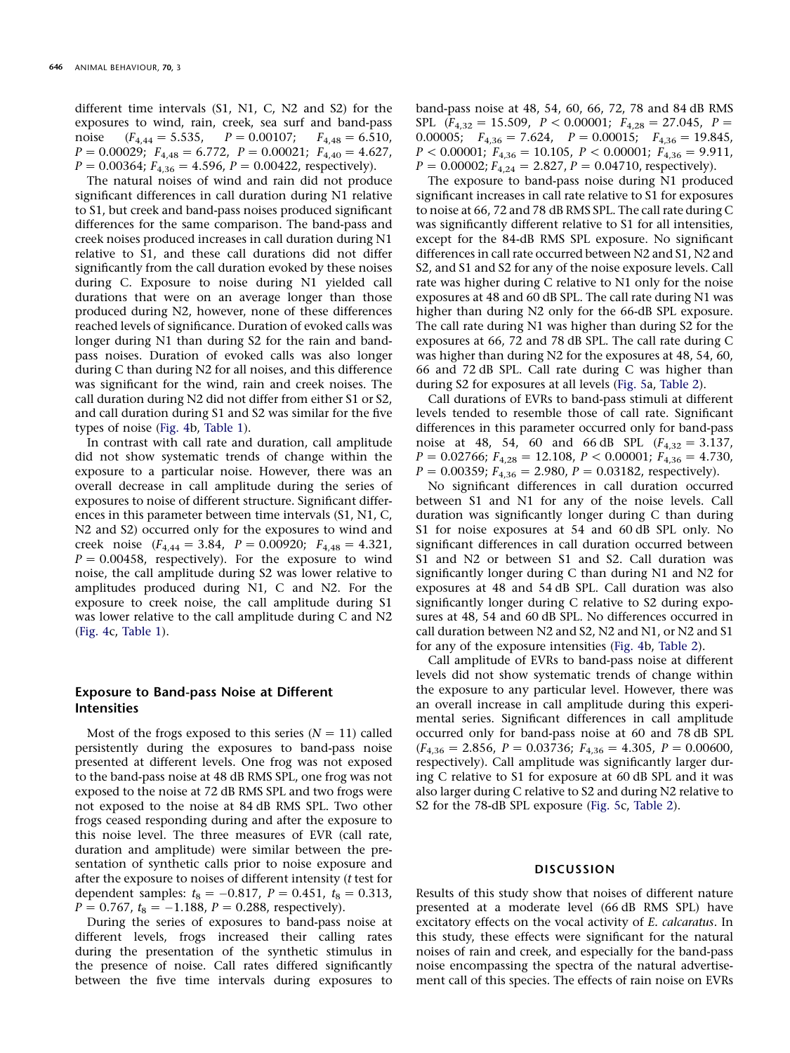different time intervals (S1, N1, C, N2 and S2) for the exposures to wind, rain, creek, sea surf and band-pass noise  $(F_{4,44} = 5.535, P = 0.00107; F_{4,48} = 6.510,$  $P = 0.00029$ ;  $F_{4,48} = 6.772$ ,  $P = 0.00021$ ;  $F_{4,40} = 4.627$ ,  $P = 0.00364$ ;  $F_{4,36} = 4.596$ ,  $P = 0.00422$ , respectively).

The natural noises of wind and rain did not produce significant differences in call duration during N1 relative to S1, but creek and band-pass noises produced significant differences for the same comparison. The band-pass and creek noises produced increases in call duration during N1 relative to S1, and these call durations did not differ significantly from the call duration evoked by these noises during C. Exposure to noise during N1 yielded call durations that were on an average longer than those produced during N2, however, none of these differences reached levels of significance. Duration of evoked calls was longer during N1 than during S2 for the rain and bandpass noises. Duration of evoked calls was also longer during C than during N2 for all noises, and this difference was significant for the wind, rain and creek noises. The call duration during N2 did not differ from either S1 or S2, and call duration during S1 and S2 was similar for the five types of noise [\(Fig. 4](#page-6-0)b, [Table 1\)](#page-6-0).

In contrast with call rate and duration, call amplitude did not show systematic trends of change within the exposure to a particular noise. However, there was an overall decrease in call amplitude during the series of exposures to noise of different structure. Significant differences in this parameter between time intervals (S1, N1, C, N2 and S2) occurred only for the exposures to wind and creek noise  $(F_{4,44} = 3.84, P = 0.00920; F_{4,48} = 4.321,$  $P = 0.00458$ , respectively). For the exposure to wind noise, the call amplitude during S2 was lower relative to amplitudes produced during N1, C and N2. For the exposure to creek noise, the call amplitude during S1 was lower relative to the call amplitude during C and N2 ([Fig. 4](#page-6-0)c, [Table 1](#page-6-0)).

# Exposure to Band-pass Noise at Different Intensities

Most of the frogs exposed to this series  $(N = 11)$  called persistently during the exposures to band-pass noise presented at different levels. One frog was not exposed to the band-pass noise at 48 dB RMS SPL, one frog was not exposed to the noise at 72 dB RMS SPL and two frogs were not exposed to the noise at 84 dB RMS SPL. Two other frogs ceased responding during and after the exposure to this noise level. The three measures of EVR (call rate, duration and amplitude) were similar between the presentation of synthetic calls prior to noise exposure and after the exposure to noises of different intensity (t test for dependent samples:  $t_8 = -0.817$ ,  $P = 0.451$ ,  $t_8 = 0.313$ ,  $P = 0.767$ ,  $t_8 = -1.188$ ,  $P = 0.288$ , respectively).

During the series of exposures to band-pass noise at different levels, frogs increased their calling rates during the presentation of the synthetic stimulus in the presence of noise. Call rates differed significantly between the five time intervals during exposures to

band-pass noise at 48, 54, 60, 66, 72, 78 and 84 dB RMS SPL  $(F_{4,32} = 15.509, P < 0.00001; F_{4,28} = 27.045, P =$ 0.00005;  $F_{4,36} = 7.624$ ,  $P = 0.00015$ ;  $F_{4,36} = 19.845$ ,  $P < 0.00001$ ;  $F_{4,36} = 10.105$ ,  $P < 0.00001$ ;  $F_{4,36} = 9.911$ ,  $P = 0.00002$ ;  $F_{4,24} = 2.827$ ,  $P = 0.04710$ , respectively).

The exposure to band-pass noise during N1 produced significant increases in call rate relative to S1 for exposures to noise at 66, 72 and 78 dB RMS SPL. The call rate during C was significantly different relative to S1 for all intensities, except for the 84-dB RMS SPL exposure. No significant differences in call rate occurred between N2 and S1, N2 and S2, and S1 and S2 for any of the noise exposure levels. Call rate was higher during C relative to N1 only for the noise exposures at 48 and 60 dB SPL. The call rate during N1 was higher than during N2 only for the 66-dB SPL exposure. The call rate during N1 was higher than during S2 for the exposures at 66, 72 and 78 dB SPL. The call rate during C was higher than during N2 for the exposures at 48, 54, 60, 66 and 72 dB SPL. Call rate during C was higher than during S2 for exposures at all levels [\(Fig. 5a](#page-8-0), [Table 2\)](#page-9-0).

Call durations of EVRs to band-pass stimuli at different levels tended to resemble those of call rate. Significant differences in this parameter occurred only for band-pass noise at 48, 54, 60 and 66 dB SPL  $(F_{4,32} = 3.137)$ ,  $P = 0.02766$ ;  $F_{4,28} = 12.108$ ,  $P < 0.00001$ ;  $F_{4,36} = 4.730$ ,  $P = 0.00359$ ;  $F_{4,36} = 2.980$ ,  $P = 0.03182$ , respectively).

No significant differences in call duration occurred between S1 and N1 for any of the noise levels. Call duration was significantly longer during C than during S1 for noise exposures at 54 and 60 dB SPL only. No significant differences in call duration occurred between S1 and N2 or between S1 and S2. Call duration was significantly longer during C than during N1 and N2 for exposures at 48 and 54 dB SPL. Call duration was also significantly longer during C relative to S2 during exposures at 48, 54 and 60 dB SPL. No differences occurred in call duration between N2 and S2, N2 and N1, or N2 and S1 for any of the exposure intensities ([Fig. 4b](#page-6-0), [Table 2](#page-9-0)).

Call amplitude of EVRs to band-pass noise at different levels did not show systematic trends of change within the exposure to any particular level. However, there was an overall increase in call amplitude during this experimental series. Significant differences in call amplitude occurred only for band-pass noise at 60 and 78 dB SPL  $(F_{4,36} = 2.856, P = 0.03736; F_{4,36} = 4.305, P = 0.00600,$ respectively). Call amplitude was significantly larger during C relative to S1 for exposure at 60 dB SPL and it was also larger during C relative to S2 and during N2 relative to S2 for the 78-dB SPL exposure [\(Fig. 5c](#page-8-0), [Table 2\)](#page-9-0).

#### **DISCUSSION**

Results of this study show that noises of different nature presented at a moderate level (66 dB RMS SPL) have excitatory effects on the vocal activity of E. calcaratus. In this study, these effects were significant for the natural noises of rain and creek, and especially for the band-pass noise encompassing the spectra of the natural advertisement call of this species. The effects of rain noise on EVRs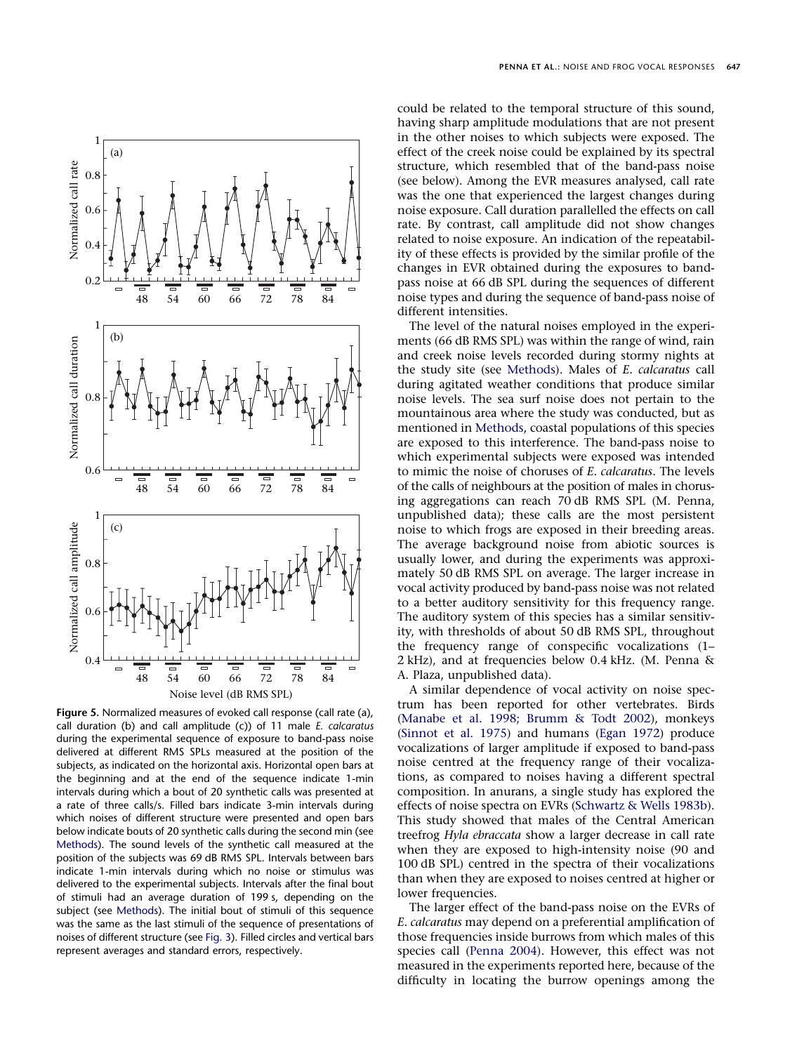

<span id="page-8-0"></span>

Figure 5. Normalized measures of evoked call response (call rate (a). call duration (b) and call amplitude (c)) of 11 male E. calcaratus during the experimental sequence of exposure to band-pass noise delivered at different RMS SPLs measured at the position of the subjects, as indicated on the horizontal axis. Horizontal open bars at the beginning and at the end of the sequence indicate 1-min intervals during which a bout of 20 synthetic calls was presented at a rate of three calls/s. Filled bars indicate 3-min intervals during which noises of different structure were presented and open bars below indicate bouts of 20 synthetic calls during the second min (see Methods). The sound levels of the synthetic call measured at the position of the subjects was 69 dB RMS SPL. Intervals between bars indicate 1-min intervals during which no noise or stimulus was delivered to the experimental subjects. Intervals after the final bout of stimuli had an average duration of 199 s, depending on the subject (see Methods). The initial bout of stimuli of this sequence was the same as the last stimuli of the sequence of presentations of noises of different structure (see [Fig. 3](#page-5-0)). Filled circles and vertical bars represent averages and standard errors, respectively.

could be related to the temporal structure of this sound, having sharp amplitude modulations that are not present in the other noises to which subjects were exposed. The effect of the creek noise could be explained by its spectral structure, which resembled that of the band-pass noise (see below). Among the EVR measures analysed, call rate was the one that experienced the largest changes during noise exposure. Call duration parallelled the effects on call rate. By contrast, call amplitude did not show changes related to noise exposure. An indication of the repeatability of these effects is provided by the similar profile of the changes in EVR obtained during the exposures to bandpass noise at 66 dB SPL during the sequences of different noise types and during the sequence of band-pass noise of different intensities.

The level of the natural noises employed in the experiments (66 dB RMS SPL) was within the range of wind, rain and creek noise levels recorded during stormy nights at the study site (see Methods). Males of E. calcaratus call during agitated weather conditions that produce similar noise levels. The sea surf noise does not pertain to the mountainous area where the study was conducted, but as mentioned in Methods, coastal populations of this species are exposed to this interference. The band-pass noise to which experimental subjects were exposed was intended to mimic the noise of choruses of E. calcaratus. The levels of the calls of neighbours at the position of males in chorusing aggregations can reach 70 dB RMS SPL (M. Penna, unpublished data); these calls are the most persistent noise to which frogs are exposed in their breeding areas. The average background noise from abiotic sources is usually lower, and during the experiments was approximately 50 dB RMS SPL on average. The larger increase in vocal activity produced by band-pass noise was not related to a better auditory sensitivity for this frequency range. The auditory system of this species has a similar sensitivity, with thresholds of about 50 dB RMS SPL, throughout the frequency range of conspecific vocalizations (1– 2 kHz), and at frequencies below 0.4 kHz. (M. Penna & A. Plaza, unpublished data).

A similar dependence of vocal activity on noise spectrum has been reported for other vertebrates. Birds ([Manabe et al. 1998; Brumm & Todt 2002](#page-11-0)), monkeys ([Sinnot et al. 1975](#page-12-0)) and humans ([Egan 1972](#page-11-0)) produce vocalizations of larger amplitude if exposed to band-pass noise centred at the frequency range of their vocalizations, as compared to noises having a different spectral composition. In anurans, a single study has explored the effects of noise spectra on EVRs ([Schwartz & Wells 1983b](#page-12-0)). This study showed that males of the Central American treefrog Hyla ebraccata show a larger decrease in call rate when they are exposed to high-intensity noise (90 and 100 dB SPL) centred in the spectra of their vocalizations than when they are exposed to noises centred at higher or lower frequencies.

The larger effect of the band-pass noise on the EVRs of E. calcaratus may depend on a preferential amplification of those frequencies inside burrows from which males of this species call [\(Penna 2004\)](#page-11-0). However, this effect was not measured in the experiments reported here, because of the difficulty in locating the burrow openings among the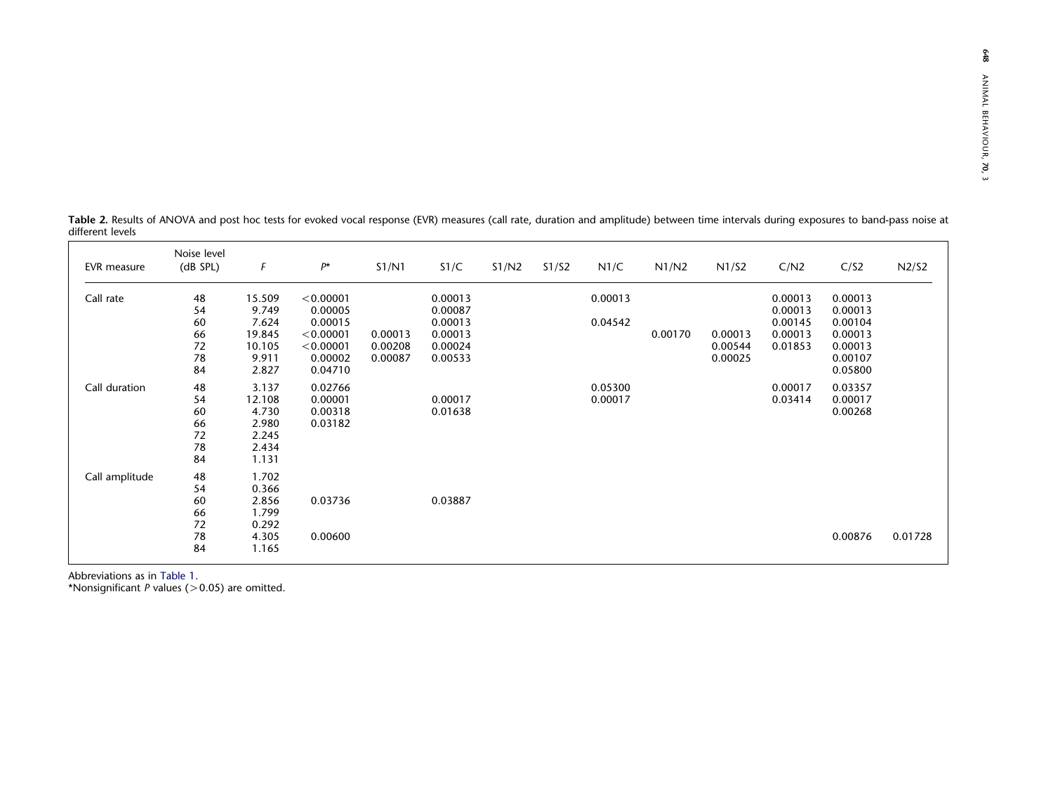| EVR measure    | Noise level<br>$(dB$ SPL $)$           | F                                                              | $P^*$                                                                           | S1/N1                         | S1/C                                                           | S1/N2 | S1/S2 | N1/C               | N1/N2   | N1/S2                         | C/N2                                                | C/S2                                                                      | N2/S2   |
|----------------|----------------------------------------|----------------------------------------------------------------|---------------------------------------------------------------------------------|-------------------------------|----------------------------------------------------------------|-------|-------|--------------------|---------|-------------------------------|-----------------------------------------------------|---------------------------------------------------------------------------|---------|
| Call rate      | 48<br>54<br>60<br>66<br>72<br>78<br>84 | 15.509<br>9.749<br>7.624<br>19.845<br>10.105<br>9.911<br>2.827 | < 0.00001<br>0.00005<br>0.00015<br>< 0.00001<br>< 0.00001<br>0.00002<br>0.04710 | 0.00013<br>0.00208<br>0.00087 | 0.00013<br>0.00087<br>0.00013<br>0.00013<br>0.00024<br>0.00533 |       |       | 0.00013<br>0.04542 | 0.00170 | 0.00013<br>0.00544<br>0.00025 | 0.00013<br>0.00013<br>0.00145<br>0.00013<br>0.01853 | 0.00013<br>0.00013<br>0.00104<br>0.00013<br>0.00013<br>0.00107<br>0.05800 |         |
| Call duration  | 48<br>54<br>60<br>66<br>72<br>78<br>84 | 3.137<br>12.108<br>4.730<br>2.980<br>2.245<br>2.434<br>1.131   | 0.02766<br>0.00001<br>0.00318<br>0.03182                                        |                               | 0.00017<br>0.01638                                             |       |       | 0.05300<br>0.00017 |         |                               | 0.00017<br>0.03414                                  | 0.03357<br>0.00017<br>0.00268                                             |         |
| Call amplitude | 48<br>54<br>60<br>66<br>72<br>78<br>84 | 1.702<br>0.366<br>2.856<br>1.799<br>0.292<br>4.305<br>1.165    | 0.03736<br>0.00600                                                              |                               | 0.03887                                                        |       |       |                    |         |                               |                                                     | 0.00876                                                                   | 0.01728 |

<span id="page-9-0"></span>Table 2. Results of ANOVA and pos<sup>t</sup> hoc tests for evoked vocal response (EVR) measures (call rate, duration and amplitude) between time intervals during exposures to band-pass noise at different levels

Abbreviations as in [Table](#page-6-0) 1.

\*Nonsignificant P values ( ${>}\,0.05)$  are omitted.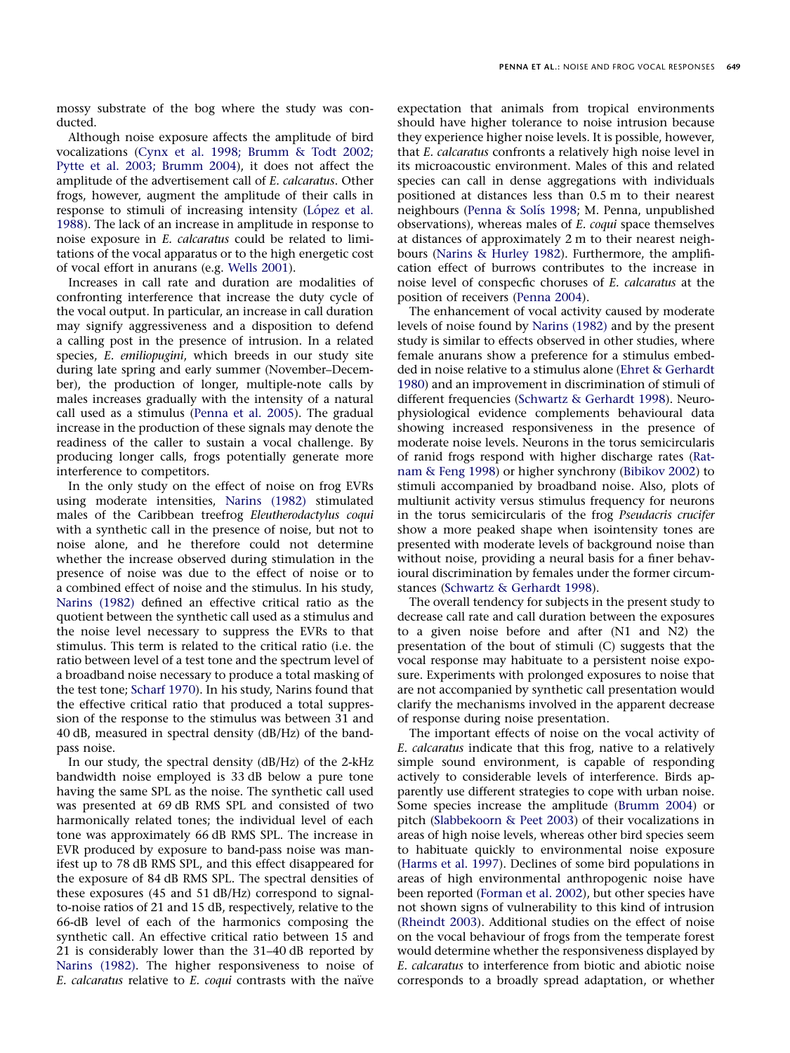mossy substrate of the bog where the study was conducted.

Although noise exposure affects the amplitude of bird vocalizations [\(Cynx et al. 1998; Brumm & Todt 2002;](#page-11-0) [Pytte et al. 2003; Brumm 2004](#page-11-0)), it does not affect the amplitude of the advertisement call of E. calcaratus. Other frogs, however, augment the amplitude of their calls in response to stimuli of increasing intensity (López et al. [1988](#page-11-0)). The lack of an increase in amplitude in response to noise exposure in E. calcaratus could be related to limitations of the vocal apparatus or to the high energetic cost of vocal effort in anurans (e.g. [Wells 2001\)](#page-12-0).

Increases in call rate and duration are modalities of confronting interference that increase the duty cycle of the vocal output. In particular, an increase in call duration may signify aggressiveness and a disposition to defend a calling post in the presence of intrusion. In a related species, E. emiliopugini, which breeds in our study site during late spring and early summer (November–December), the production of longer, multiple-note calls by males increases gradually with the intensity of a natural call used as a stimulus [\(Penna et al. 2005\)](#page-11-0). The gradual increase in the production of these signals may denote the readiness of the caller to sustain a vocal challenge. By producing longer calls, frogs potentially generate more interference to competitors.

In the only study on the effect of noise on frog EVRs using moderate intensities, [Narins \(1982\)](#page-11-0) stimulated males of the Caribbean treefrog Eleutherodactylus coqui with a synthetic call in the presence of noise, but not to noise alone, and he therefore could not determine whether the increase observed during stimulation in the presence of noise was due to the effect of noise or to a combined effect of noise and the stimulus. In his study, [Narins \(1982\)](#page-11-0) defined an effective critical ratio as the quotient between the synthetic call used as a stimulus and the noise level necessary to suppress the EVRs to that stimulus. This term is related to the critical ratio (i.e. the ratio between level of a test tone and the spectrum level of a broadband noise necessary to produce a total masking of the test tone; [Scharf 1970](#page-12-0)). In his study, Narins found that the effective critical ratio that produced a total suppression of the response to the stimulus was between 31 and 40 dB, measured in spectral density (dB/Hz) of the bandpass noise.

In our study, the spectral density (dB/Hz) of the 2-kHz bandwidth noise employed is 33 dB below a pure tone having the same SPL as the noise. The synthetic call used was presented at 69 dB RMS SPL and consisted of two harmonically related tones; the individual level of each tone was approximately 66 dB RMS SPL. The increase in EVR produced by exposure to band-pass noise was manifest up to 78 dB RMS SPL, and this effect disappeared for the exposure of 84 dB RMS SPL. The spectral densities of these exposures (45 and 51 dB/Hz) correspond to signalto-noise ratios of 21 and 15 dB, respectively, relative to the 66-dB level of each of the harmonics composing the synthetic call. An effective critical ratio between 15 and 21 is considerably lower than the 31–40 dB reported by [Narins \(1982\)](#page-11-0). The higher responsiveness to noise of  $E.$  calcaratus relative to  $E.$  coqui contrasts with the naïve

expectation that animals from tropical environments should have higher tolerance to noise intrusion because they experience higher noise levels. It is possible, however, that E. calcaratus confronts a relatively high noise level in its microacoustic environment. Males of this and related species can call in dense aggregations with individuals positioned at distances less than 0.5 m to their nearest neighbours (Penna & Solís 1998; M. Penna, unpublished observations), whereas males of E. coqui space themselves at distances of approximately 2 m to their nearest neighbours [\(Narins & Hurley 1982\)](#page-11-0). Furthermore, the amplification effect of burrows contributes to the increase in noise level of conspecfic choruses of E. calcaratus at the position of receivers [\(Penna 2004\)](#page-11-0).

The enhancement of vocal activity caused by moderate levels of noise found by [Narins \(1982\)](#page-11-0) and by the present study is similar to effects observed in other studies, where female anurans show a preference for a stimulus embedded in noise relative to a stimulus alone ([Ehret & Gerhardt](#page-11-0) [1980](#page-11-0)) and an improvement in discrimination of stimuli of different frequencies ([Schwartz & Gerhardt 1998\)](#page-12-0). Neurophysiological evidence complements behavioural data showing increased responsiveness in the presence of moderate noise levels. Neurons in the torus semicircularis of ranid frogs respond with higher discharge rates [\(Rat](#page-11-0)[nam & Feng 1998\)](#page-11-0) or higher synchrony [\(Bibikov 2002](#page-11-0)) to stimuli accompanied by broadband noise. Also, plots of multiunit activity versus stimulus frequency for neurons in the torus semicircularis of the frog Pseudacris crucifer show a more peaked shape when isointensity tones are presented with moderate levels of background noise than without noise, providing a neural basis for a finer behavioural discrimination by females under the former circumstances [\(Schwartz & Gerhardt 1998](#page-12-0)).

The overall tendency for subjects in the present study to decrease call rate and call duration between the exposures to a given noise before and after (N1 and N2) the presentation of the bout of stimuli (C) suggests that the vocal response may habituate to a persistent noise exposure. Experiments with prolonged exposures to noise that are not accompanied by synthetic call presentation would clarify the mechanisms involved in the apparent decrease of response during noise presentation.

The important effects of noise on the vocal activity of E. calcaratus indicate that this frog, native to a relatively simple sound environment, is capable of responding actively to considerable levels of interference. Birds apparently use different strategies to cope with urban noise. Some species increase the amplitude ([Brumm 2004](#page-11-0)) or pitch [\(Slabbekoorn & Peet 2003\)](#page-12-0) of their vocalizations in areas of high noise levels, whereas other bird species seem to habituate quickly to environmental noise exposure ([Harms et al. 1997](#page-11-0)). Declines of some bird populations in areas of high environmental anthropogenic noise have been reported [\(Forman et al. 2002](#page-11-0)), but other species have not shown signs of vulnerability to this kind of intrusion ([Rheindt 2003\)](#page-11-0). Additional studies on the effect of noise on the vocal behaviour of frogs from the temperate forest would determine whether the responsiveness displayed by E. calcaratus to interference from biotic and abiotic noise corresponds to a broadly spread adaptation, or whether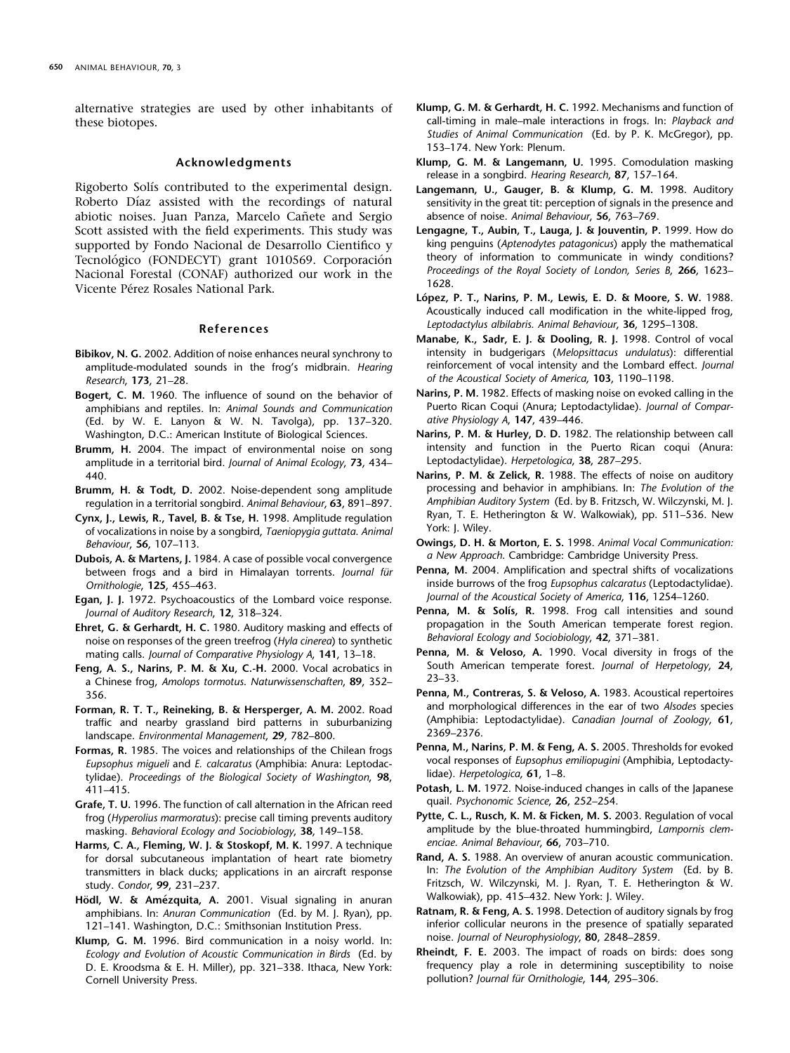<span id="page-11-0"></span>alternative strategies are used by other inhabitants of these biotopes.

## Acknowledgments

Rigoberto Solís contributed to the experimental design. Roberto Díaz assisted with the recordings of natural abiotic noises. Juan Panza, Marcelo Cañete and Sergio Scott assisted with the field experiments. This study was supported by Fondo Nacional de Desarrollo Cientifico y Tecnológico (FONDECYT) grant 1010569. Corporación Nacional Forestal (CONAF) authorized our work in the Vicente Pérez Rosales National Park.

#### References

- Bibikov, N. G. 2002. Addition of noise enhances neural synchrony to amplitude-modulated sounds in the frog's midbrain. Hearing Research, 173, 21–28.
- Bogert, C. M. 1960. The influence of sound on the behavior of amphibians and reptiles. In: Animal Sounds and Communication (Ed. by W. E. Lanyon & W. N. Tavolga), pp. 137–320. Washington, D.C.: American Institute of Biological Sciences.
- Brumm, H. 2004. The impact of environmental noise on song amplitude in a territorial bird. Journal of Animal Ecology, 73, 434-440.
- Brumm, H. & Todt, D. 2002. Noise-dependent song amplitude regulation in a territorial songbird. Animal Behaviour, 63, 891–897.
- Cynx, J., Lewis, R., Tavel, B. & Tse, H. 1998. Amplitude regulation of vocalizations in noise by a songbird, Taeniopygia guttata. Animal Behaviour, 56, 107–113.
- Dubois, A. & Martens, J. 1984. A case of possible vocal convergence between frogs and a bird in Himalayan torrents. Journal für Ornithologie, 125, 455–463.
- Egan, J. J. 1972. Psychoacoustics of the Lombard voice response. Journal of Auditory Research, 12, 318–324.
- Ehret, G. & Gerhardt, H. C. 1980. Auditory masking and effects of noise on responses of the green treefrog (Hyla cinerea) to synthetic mating calls. Journal of Comparative Physiology A, 141, 13–18.
- Feng, A. S., Narins, P. M. & Xu, C.-H. 2000. Vocal acrobatics in a Chinese frog, Amolops tormotus. Naturwissenschaften, 89, 352– 356.
- Forman, R. T. T., Reineking, B. & Hersperger, A. M. 2002. Road traffic and nearby grassland bird patterns in suburbanizing landscape. Environmental Management, 29, 782–800.
- Formas, R. 1985. The voices and relationships of the Chilean frogs Eupsophus migueli and E. calcaratus (Amphibia: Anura: Leptodactylidae). Proceedings of the Biological Society of Washington, 98, 411–415.
- Grafe, T. U. 1996. The function of call alternation in the African reed frog (Hyperolius marmoratus): precise call timing prevents auditory masking. Behavioral Ecology and Sociobiology, 38, 149–158.
- Harms, C. A., Fleming, W. J. & Stoskopf, M. K. 1997. A technique for dorsal subcutaneous implantation of heart rate biometry transmitters in black ducks; applications in an aircraft response study. Condor, 99, 231–237.
- Hödl, W. & Amézquita, A. 2001. Visual signaling in anuran amphibians. In: Anuran Communication (Ed. by M. J. Ryan), pp. 121–141. Washington, D.C.: Smithsonian Institution Press.
- Klump, G. M. 1996. Bird communication in a noisy world. In: Ecology and Evolution of Acoustic Communication in Birds (Ed. by D. E. Kroodsma & E. H. Miller), pp. 321–338. Ithaca, New York: Cornell University Press.
- Klump, G. M. & Gerhardt, H. C. 1992. Mechanisms and function of call-timing in male–male interactions in frogs. In: Playback and Studies of Animal Communication (Ed. by P. K. McGregor), pp. 153–174. New York: Plenum.
- Klump, G. M. & Langemann, U. 1995. Comodulation masking release in a songbird. Hearing Research, 87, 157–164.
- Langemann, U., Gauger, B. & Klump, G. M. 1998. Auditory sensitivity in the great tit: perception of signals in the presence and absence of noise. Animal Behaviour, 56, 763–769.
- Lengagne, T., Aubin, T., Lauga, J. & Jouventin, P. 1999. How do king penguins (Aptenodytes patagonicus) apply the mathematical theory of information to communicate in windy conditions? Proceedings of the Royal Society of London, Series B, 266, 1623– 1628.
- López, P. T., Narins, P. M., Lewis, E. D. & Moore, S. W. 1988. Acoustically induced call modification in the white-lipped frog, Leptodactylus albilabris. Animal Behaviour, 36, 1295–1308.
- Manabe, K., Sadr, E. J. & Dooling, R. J. 1998. Control of vocal intensity in budgerigars (Melopsittacus undulatus): differential reinforcement of vocal intensity and the Lombard effect. Journal of the Acoustical Society of America, 103, 1190–1198.
- Narins, P. M. 1982. Effects of masking noise on evoked calling in the Puerto Rican Coqui (Anura; Leptodactylidae). Journal of Comparative Physiology A, 147, 439–446.
- Narins, P. M. & Hurley, D. D. 1982. The relationship between call intensity and function in the Puerto Rican coqui (Anura: Leptodactylidae). Herpetologica, 38, 287–295.
- Narins, P. M. & Zelick, R. 1988. The effects of noise on auditory processing and behavior in amphibians. In: The Evolution of the Amphibian Auditory System (Ed. by B. Fritzsch, W. Wilczynski, M. J. Ryan, T. E. Hetherington & W. Walkowiak), pp. 511–536. New York: J. Wiley.
- Owings, D. H. & Morton, E. S. 1998. Animal Vocal Communication: a New Approach. Cambridge: Cambridge University Press.
- Penna, M. 2004. Amplification and spectral shifts of vocalizations inside burrows of the frog Eupsophus calcaratus (Leptodactylidae). Journal of the Acoustical Society of America, 116, 1254–1260.
- Penna, M. & Solís, R. 1998. Frog call intensities and sound propagation in the South American temperate forest region. Behavioral Ecology and Sociobiology, 42, 371–381.
- Penna, M. & Veloso, A. 1990. Vocal diversity in frogs of the South American temperate forest. Journal of Herpetology, 24, 23–33.
- Penna, M., Contreras, S. & Veloso, A. 1983. Acoustical repertoires and morphological differences in the ear of two Alsodes species (Amphibia: Leptodactylidae). Canadian Journal of Zoology, 61, 2369–2376.
- Penna, M., Narins, P. M. & Feng, A. S. 2005. Thresholds for evoked vocal responses of Eupsophus emiliopugini (Amphibia, Leptodactylidae). Herpetologica, 61, 1–8.
- Potash, L. M. 1972. Noise-induced changes in calls of the Japanese quail. Psychonomic Science, 26, 252–254.
- Pytte, C. L., Rusch, K. M. & Ficken, M. S. 2003. Regulation of vocal amplitude by the blue-throated hummingbird, Lampornis clemenciae. Animal Behaviour, 66, 703–710.
- Rand, A. S. 1988. An overview of anuran acoustic communication. In: The Evolution of the Amphibian Auditory System (Ed. by B. Fritzsch, W. Wilczynski, M. J. Ryan, T. E. Hetherington & W. Walkowiak), pp. 415–432. New York: J. Wiley.
- Ratnam, R. & Feng, A. S. 1998. Detection of auditory signals by frog inferior collicular neurons in the presence of spatially separated noise. Journal of Neurophysiology, 80, 2848–2859.
- Rheindt, F. E. 2003. The impact of roads on birds: does song frequency play a role in determining susceptibility to noise pollution? Journal für Ornithologie, 144, 295-306.